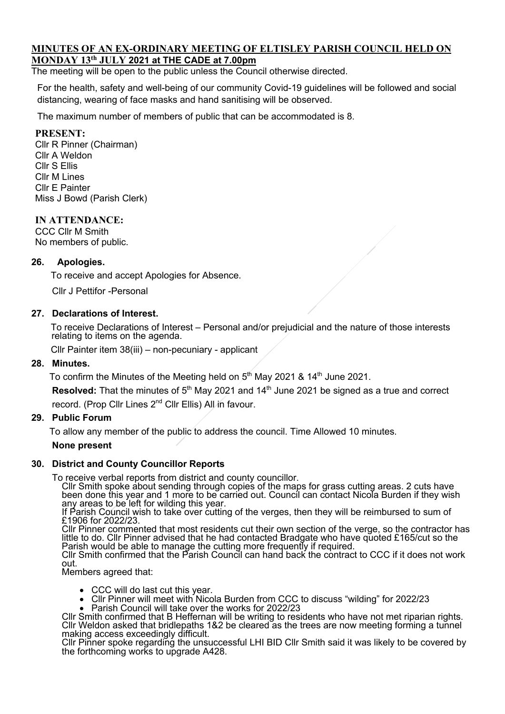#### **MINUTES OF AN EX-ORDINARY MEETING OF ELTISLEY PARISH COUNCIL HELD ON MONDAY 13th JULY 2021 at THE CADE at 7.00pm**

The meeting will be open to the public unless the Council otherwise directed.

For the health, safety and well-being of our community Covid-19 guidelines will be followed and social distancing, wearing of face masks and hand sanitising will be observed.

The maximum number of members of public that can be accommodated is 8.

### **PRESENT:**

Cllr R Pinner (Chairman) Cllr A Weldon Cllr S Ellis Cllr M Lines Cllr E Painter Miss J Bowd (Parish Clerk)

### **IN ATTENDANCE:**

CCC Cllr M Smith No members of public.

#### **26. Apologies.**

To receive and accept Apologies for Absence.

Cllr J Pettifor -Personal

#### **27. Declarations of Interest.**

To receive Declarations of Interest – Personal and/or prejudicial and the nature of those interests relating to items on the agenda.

Cllr Painter item 38(iii) – non-pecuniary - applicant

#### **28. Minutes.**

To confirm the Minutes of the Meeting held on  $5<sup>th</sup>$  May 2021 & 14<sup>th</sup> June 2021.

**Resolved:** That the minutes of 5<sup>th</sup> May 2021 and 14<sup>th</sup> June 2021 be signed as a true and correct record. (Prop Cllr Lines 2nd Cllr Ellis) All in favour.

### **29. Public Forum**

To allow any member of the public to address the council. Time Allowed 10 minutes.

#### **None present**

# **30. District and County Councillor Reports**

To receive verbal reports from district and county councillor.<br>Cllr Smith spoke about sending through copies of the maps for grass cutting areas. 2 cuts have been done this year and 1 more to be carried out. Council can contact Nicola Burden if they wish<br>any areas to be left for wilding this year.

If Parish Council wish to take over cutting of the verges, then they will be reimbursed to sum of £1906 for 2022/23.

Cllr Pinner commented that most residents cut their own section of the verge, so the contractor has little to do. Cllr Pinner advised that he had contacted Bradgate who have quoted £165/cut so the Parish would be able to manage the cutting more frequently if required.

Cllr Smith confirmed that the Parish Council can hand back the contract to CCC if it does not work out.

Members agreed that:

- 
- CCC will do last cut this year.<br>• Cllr Pinner will meet with Nicola Burden from CCC to discuss "wilding" for 2022/23<br>• Parish Council will take over the works for 2022/23
- 

Cllr Smith confirmed that B Heffernan will be writing to residents who have not met riparian rights.<br>Cllr Weldon asked that bridlepaths 1&2 be cleared as the trees are now meeting forming a tunnel making access exceedingly difficult.

Cllr Pinner spoke regarding the unsuccessful LHI BID Cllr Smith said it was likely to be covered by the forthcoming works to upgrade A428.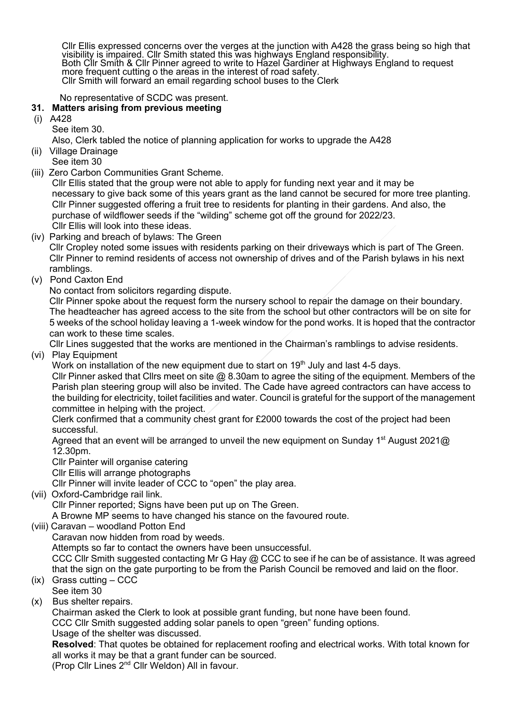Cllr Ellis expressed concerns over the verges at the junction with A428 the grass being so high that visibility is impaired. Cllr Smith stated this was highways England responsibility. visibility is impaired. Cllr Smith stated this was highways England responsibility. Both Cllr Smith & Cllr Pinner agreed to write to Hazel Gardiner at Highways England to request more frequent cutting o the areas in the interest of road safety. Cllr Smith will forward an email regarding school buses to the Clerk

No representative of SCDC was present.

### **31. Matters arising from previous meeting**

- (i) A428
	- See item 30.

Also, Clerk tabled the notice of planning application for works to upgrade the A428

- (ii) Village Drainage
	- See item 30
- (iii) Zero Carbon Communities Grant Scheme.

 Cllr Ellis stated that the group were not able to apply for funding next year and it may be necessary to give back some of this years grant as the land cannot be secured for more tree planting. Cllr Pinner suggested offering a fruit tree to residents for planting in their gardens. And also, the purchase of wildflower seeds if the "wilding" scheme got off the ground for 2022/23. Cllr Ellis will look into these ideas.

(iv) Parking and breach of bylaws: The Green

 Cllr Cropley noted some issues with residents parking on their driveways which is part of The Green. Cllr Pinner to remind residents of access not ownership of drives and of the Parish bylaws in his next ramblings.

- (v) Pond Caxton End
	- No contact from solicitors regarding dispute.

 Cllr Pinner spoke about the request form the nursery school to repair the damage on their boundary. The headteacher has agreed access to the site from the school but other contractors will be on site for 5 weeks of the school holiday leaving a 1-week window for the pond works. It is hoped that the contractor can work to these time scales.

Cllr Lines suggested that the works are mentioned in the Chairman's ramblings to advise residents.

(vi) Play Equipment

Work on installation of the new equipment due to start on 19<sup>th</sup> July and last 4-5 days.

Cllr Pinner asked that Cllrs meet on site  $@$  8.30am to agree the siting of the equipment. Members of the Parish plan steering group will also be invited. The Cade have agreed contractors can have access to the building for electricity, toilet facilities and water. Council is grateful for the support of the management committee in helping with the project.

 Clerk confirmed that a community chest grant for £2000 towards the cost of the project had been successful.

Agreed that an event will be arranged to unveil the new equipment on Sunday 1<sup>st</sup> August 2021@ 12.30pm.

Cllr Painter will organise catering

Cllr Ellis will arrange photographs

Cllr Pinner will invite leader of CCC to "open" the play area.

(vii) Oxford-Cambridge rail link.

Cllr Pinner reported; Signs have been put up on The Green.

A Browne MP seems to have changed his stance on the favoured route.

(viii) Caravan – woodland Potton End

Caravan now hidden from road by weeds.

Attempts so far to contact the owners have been unsuccessful.

 CCC Cllr Smith suggested contacting Mr G Hay @ CCC to see if he can be of assistance. It was agreed that the sign on the gate purporting to be from the Parish Council be removed and laid on the floor.

- (ix) Grass cutting CCC See item 30
- (x) Bus shelter repairs.

 Chairman asked the Clerk to look at possible grant funding, but none have been found. CCC Cllr Smith suggested adding solar panels to open "green" funding options. Usage of the shelter was discussed.

 **Resolved**: That quotes be obtained for replacement roofing and electrical works. With total known for all works it may be that a grant funder can be sourced.

(Prop Cllr Lines 2nd Cllr Weldon) All in favour.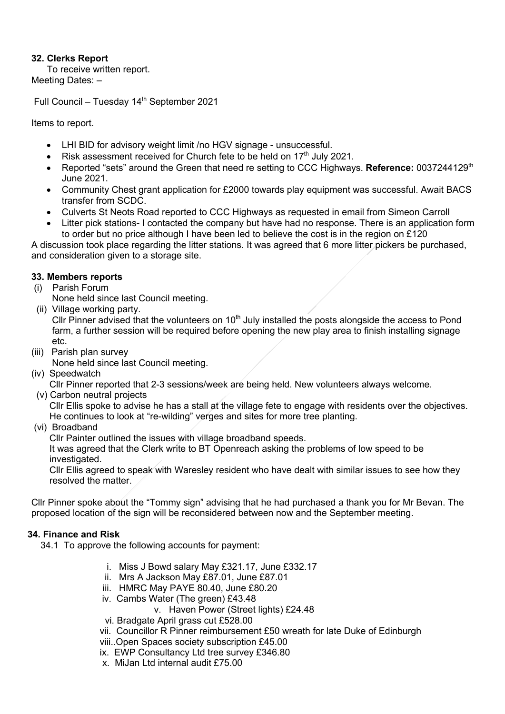## **32. Clerks Report**

To receive written report. Meeting Dates: –

Full Council – Tuesday 14<sup>th</sup> September 2021

Items to report.

- LHI BID for advisory weight limit /no HGV signage unsuccessful.
- Risk assessment received for Church fete to be held on  $17<sup>th</sup>$  July 2021.
- Reported "sets" around the Green that need re setting to CCC Highways. Reference: 0037244129<sup>th</sup> June 2021.
- Community Chest grant application for £2000 towards play equipment was successful. Await BACS transfer from SCDC.
- Culverts St Neots Road reported to CCC Highways as requested in email from Simeon Carroll
- Litter pick stations- I contacted the company but have had no response. There is an application form to order but no price although I have been led to believe the cost is in the region on £120

A discussion took place regarding the litter stations. It was agreed that 6 more litter pickers be purchased, and consideration given to a storage site.

## **33. Members reports**

(i) Parish Forum

None held since last Council meeting.

(ii) Village working party.

Cllr Pinner advised that the volunteers on  $10<sup>th</sup>$  July installed the posts alongside the access to Pond farm, a further session will be required before opening the new play area to finish installing signage etc.

(iii) Parish plan survey

None held since last Council meeting.

(iv) Speedwatch

Cllr Pinner reported that 2-3 sessions/week are being held. New volunteers always welcome.

(v) Carbon neutral projects

 Cllr Ellis spoke to advise he has a stall at the village fete to engage with residents over the objectives. He continues to look at "re-wilding" verges and sites for more tree planting.

(vi) Broadband

Cllr Painter outlined the issues with village broadband speeds.

 It was agreed that the Clerk write to BT Openreach asking the problems of low speed to be investigated.

 Cllr Ellis agreed to speak with Waresley resident who have dealt with similar issues to see how they resolved the matter.

Cllr Pinner spoke about the "Tommy sign" advising that he had purchased a thank you for Mr Bevan. The proposed location of the sign will be reconsidered between now and the September meeting.

# **34. Finance and Risk**

34.1 To approve the following accounts for payment:

- i. Miss J Bowd salary May £321.17, June £332.17
- ii. Mrs A Jackson May £87.01, June £87.01
- iii. HMRC May PAYE 80.40, June £80.20
- iv. Cambs Water (The green) £43.48
	- v. Haven Power (Street lights) £24.48
- vi. Bradgate April grass cut £528.00
- vii. Councillor R Pinner reimbursement £50 wreath for late Duke of Edinburgh
- viii..Open Spaces society subscription £45.00
- ix. EWP Consultancy Ltd tree survey £346.80
- x. MiJan Ltd internal audit £75.00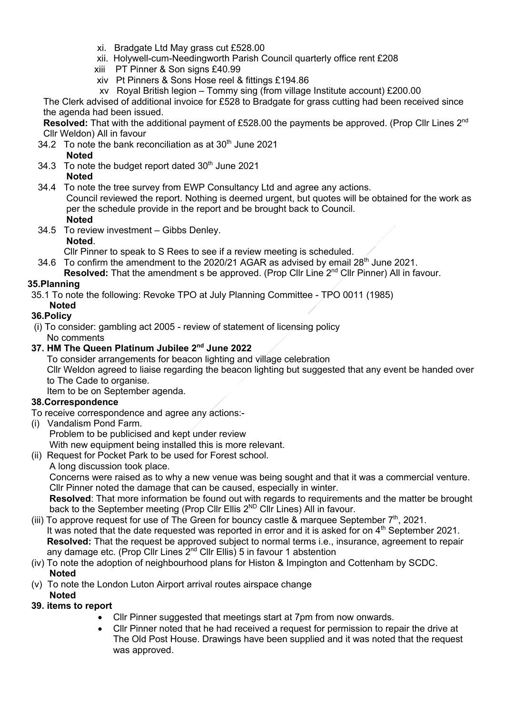- xi. Bradgate Ltd May grass cut £528.00
- xii. Holywell-cum-Needingworth Parish Council quarterly office rent £208
- xiii PT Pinner & Son signs £40.99
- xiv Pt Pinners & Sons Hose reel & fittings £194.86
- xv Royal British legion Tommy sing (from village Institute account) £200.00

The Clerk advised of additional invoice for £528 to Bradgate for grass cutting had been received since the agenda had been issued.

**Resolved:** That with the additional payment of £528.00 the payments be approved. (Prop Cllr Lines 2nd Cllr Weldon) All in favour

34.2 To note the bank reconciliation as at  $30<sup>th</sup>$  June 2021

**Noted**

34.3 To note the budget report dated  $30<sup>th</sup>$  June 2021 **Noted**

 34.4 To note the tree survey from EWP Consultancy Ltd and agree any actions. Council reviewed the report. Nothing is deemed urgent, but quotes will be obtained for the work as per the schedule provide in the report and be brought back to Council. **Noted**

 34.5 To review investment – Gibbs Denley. **Noted**.

Cllr Pinner to speak to S Rees to see if a review meeting is scheduled.

34.6 To confirm the amendment to the 2020/21 AGAR as advised by email  $28<sup>th</sup>$  June 2021.

**Resolved:** That the amendment s be approved. (Prop Cllr Line 2<sup>nd</sup> Cllr Pinner) All in favour.

## **35.Planning**

35.1 To note the following: Revoke TPO at July Planning Committee - TPO 0011 (1985)

 **Noted**

# **36.Policy**

(i) To consider: gambling act 2005 - review of statement of licensing policy No comments

# **37. HM The Queen Platinum Jubilee 2nd June 2022**

To consider arrangements for beacon lighting and village celebration Cllr Weldon agreed to liaise regarding the beacon lighting but suggested that any event be handed over to The Cade to organise.

Item to be on September agenda.

### **38.Correspondence**

- To receive correspondence and agree any actions:-
- (i) Vandalism Pond Farm.

 Problem to be publicised and kept under review With new equipment being installed this is more relevant.

- (ii) Request for Pocket Park to be used for Forest school.
	- A long discussion took place.

 Concerns were raised as to why a new venue was being sought and that it was a commercial venture. Cllr Pinner noted the damage that can be caused, especially in winter.

 **Resolved**: That more information be found out with regards to requirements and the matter be brought back to the September meeting (Prop Cllr Ellis 2<sup>ND</sup> Cllr Lines) All in favour.

- (iii) To approve request for use of The Green for bouncy castle  $\&$  marquee September  $7<sup>th</sup>$ , 2021. It was noted that the date requested was reported in error and it is asked for on  $4<sup>th</sup>$  September 2021. **Resolved:** That the request be approved subject to normal terms i.e., insurance, agreement to repair any damage etc. (Prop Cllr Lines 2<sup>nd</sup> Cllr Ellis) 5 in favour 1 abstention
- (iv) To note the adoption of neighbourhood plans for Histon & Impington and Cottenham by SCDC.  **Noted**
- (v) To note the London Luton Airport arrival routes airspace change

### **Noted**

# **39. items to report**

- Cllr Pinner suggested that meetings start at 7pm from now onwards.
- Cllr Pinner noted that he had received a request for permission to repair the drive at The Old Post House. Drawings have been supplied and it was noted that the request was approved.